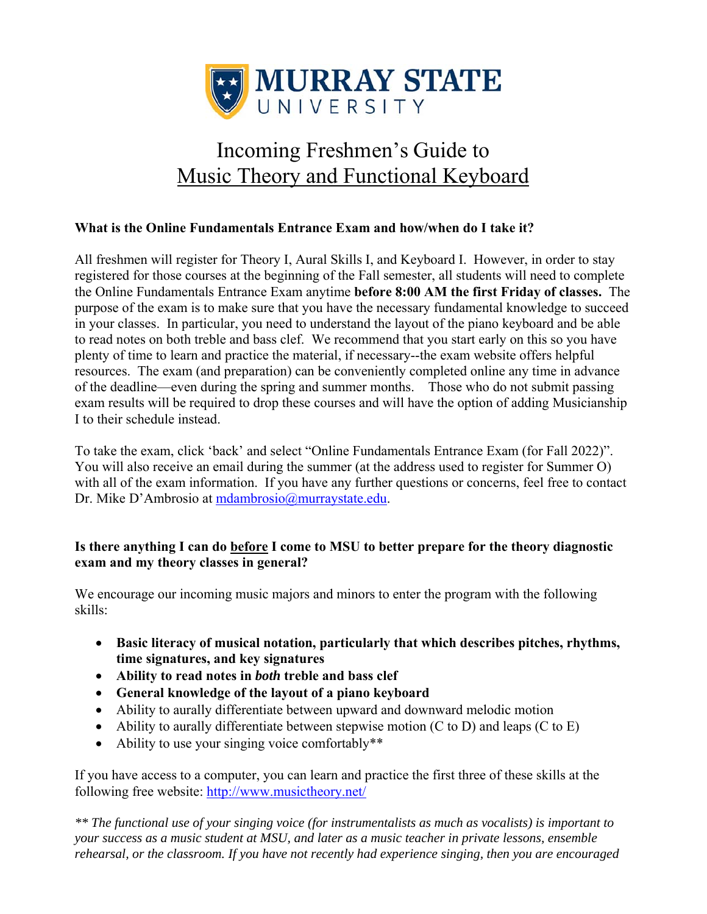

# Incoming Freshmen's Guide to Music Theory and Functional Keyboard

#### **What is the Online Fundamentals Entrance Exam and how/when do I take it?**

All freshmen will register for Theory I, Aural Skills I, and Keyboard I. However, in order to stay registered for those courses at the beginning of the Fall semester, all students will need to complete the Online Fundamentals Entrance Exam anytime **before 8:00 AM the first Friday of classes.** The purpose of the exam is to make sure that you have the necessary fundamental knowledge to succeed in your classes. In particular, you need to understand the layout of the piano keyboard and be able to read notes on both treble and bass clef. We recommend that you start early on this so you have plenty of time to learn and practice the material, if necessary--the exam website offers helpful resources. The exam (and preparation) can be conveniently completed online any time in advance of the deadline—even during the spring and summer months. Those who do not submit passing exam results will be required to drop these courses and will have the option of adding Musicianship I to their schedule instead.

To take the exam, click 'back' and select "Online Fundamentals Entrance Exam (for Fall 2022)". You will also receive an email during the summer (at the address used to register for Summer O) with all of the exam information. If you have any further questions or concerns, feel free to contact Dr. Mike D'Ambrosio at mdambrosio@murraystate.edu.

#### **Is there anything I can do before I come to MSU to better prepare for the theory diagnostic exam and my theory classes in general?**

We encourage our incoming music majors and minors to enter the program with the following skills:

- **Basic literacy of musical notation, particularly that which describes pitches, rhythms, time signatures, and key signatures**
- **Ability to read notes in** *both* **treble and bass clef**
- **General knowledge of the layout of a piano keyboard**
- Ability to aurally differentiate between upward and downward melodic motion
- Ability to aurally differentiate between stepwise motion (C to D) and leaps (C to E)
- Ability to use your singing voice comfortably\*\*

If you have access to a computer, you can learn and practice the first three of these skills at the following free website: http://www.musictheory.net/

*\*\* The functional use of your singing voice (for instrumentalists as much as vocalists) is important to your success as a music student at MSU, and later as a music teacher in private lessons, ensemble rehearsal, or the classroom. If you have not recently had experience singing, then you are encouraged*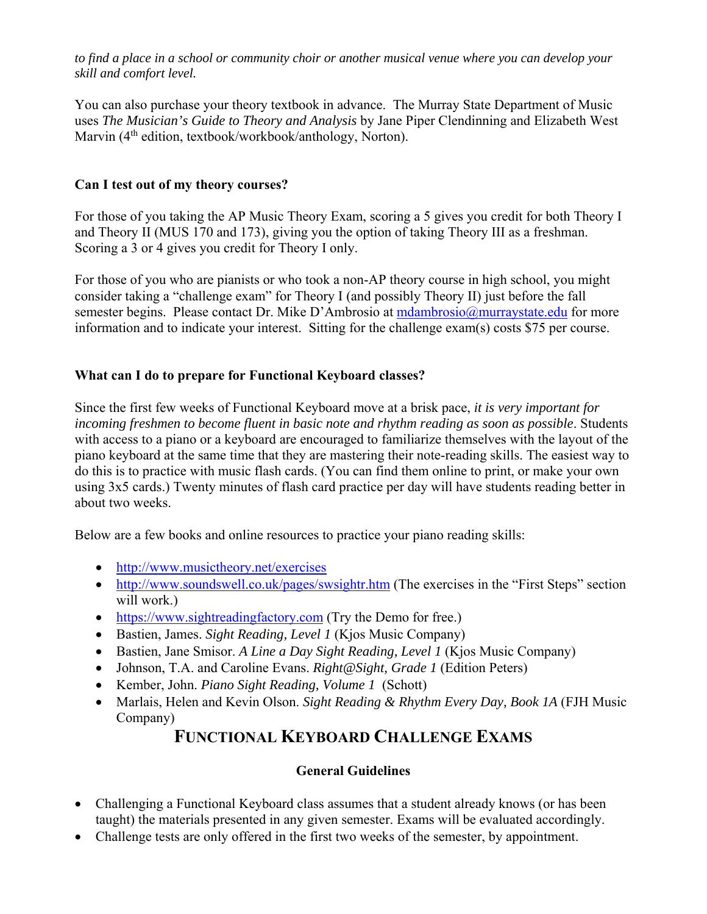*to find a place in a school or community choir or another musical venue where you can develop your skill and comfort level.* 

You can also purchase your theory textbook in advance. The Murray State Department of Music uses *The Musician's Guide to Theory and Analysis* by Jane Piper Clendinning and Elizabeth West Marvin (4<sup>th</sup> edition, textbook/workbook/anthology, Norton).

#### **Can I test out of my theory courses?**

For those of you taking the AP Music Theory Exam, scoring a 5 gives you credit for both Theory I and Theory II (MUS 170 and 173), giving you the option of taking Theory III as a freshman. Scoring a 3 or 4 gives you credit for Theory I only.

For those of you who are pianists or who took a non-AP theory course in high school, you might consider taking a "challenge exam" for Theory I (and possibly Theory II) just before the fall semester begins. Please contact Dr. Mike D'Ambrosio at mdambrosio@murraystate.edu for more information and to indicate your interest. Sitting for the challenge exam(s) costs \$75 per course.

#### **What can I do to prepare for Functional Keyboard classes?**

Since the first few weeks of Functional Keyboard move at a brisk pace, *it is very important for incoming freshmen to become fluent in basic note and rhythm reading as soon as possible*. Students with access to a piano or a keyboard are encouraged to familiarize themselves with the layout of the piano keyboard at the same time that they are mastering their note-reading skills. The easiest way to do this is to practice with music flash cards. (You can find them online to print, or make your own using 3x5 cards.) Twenty minutes of flash card practice per day will have students reading better in about two weeks.

Below are a few books and online resources to practice your piano reading skills:

- http://www.musictheory.net/exercises
- http://www.soundswell.co.uk/pages/swsightr.htm (The exercises in the "First Steps" section will work.)
- https://www.sightreadingfactory.com (Try the Demo for free.)
- Bastien, James. *Sight Reading, Level 1* (Kjos Music Company)
- Bastien, Jane Smisor. *A Line a Day Sight Reading, Level 1* (Kjos Music Company)
- Johnson, T.A. and Caroline Evans. *Right@Sight, Grade 1* (Edition Peters)
- Kember, John. *Piano Sight Reading, Volume 1* (Schott)
- Marlais, Helen and Kevin Olson. *Sight Reading & Rhythm Every Day, Book 1A* (FJH Music Company)

# **FUNCTIONAL KEYBOARD CHALLENGE EXAMS**

# **General Guidelines**

- Challenging a Functional Keyboard class assumes that a student already knows (or has been taught) the materials presented in any given semester. Exams will be evaluated accordingly.
- Challenge tests are only offered in the first two weeks of the semester, by appointment.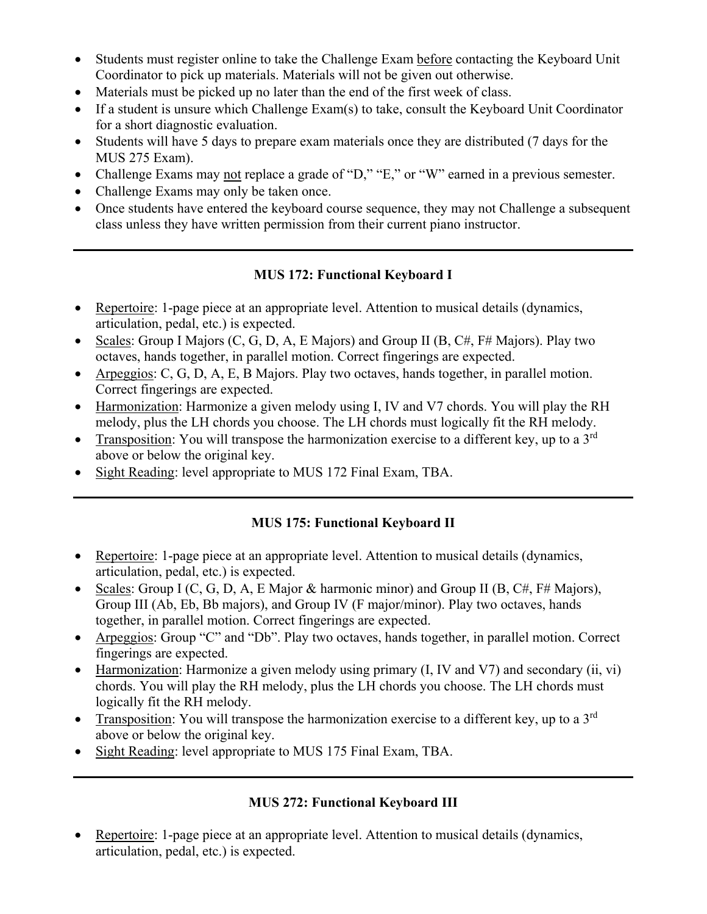- Students must register online to take the Challenge Exam before contacting the Keyboard Unit Coordinator to pick up materials. Materials will not be given out otherwise.
- Materials must be picked up no later than the end of the first week of class.
- If a student is unsure which Challenge Exam(s) to take, consult the Keyboard Unit Coordinator for a short diagnostic evaluation.
- Students will have 5 days to prepare exam materials once they are distributed (7 days for the MUS 275 Exam).
- Challenge Exams may not replace a grade of "D," "E," or "W" earned in a previous semester.
- Challenge Exams may only be taken once.
- Once students have entered the keyboard course sequence, they may not Challenge a subsequent class unless they have written permission from their current piano instructor.

# **MUS 172: Functional Keyboard I**

- Repertoire: 1-page piece at an appropriate level. Attention to musical details (dynamics, articulation, pedal, etc.) is expected.
- Scales: Group I Majors  $(C, G, D, A, E$  Majors) and Group II  $(B, C\#, F\#$  Majors). Play two octaves, hands together, in parallel motion. Correct fingerings are expected.
- Arpeggios: C, G, D, A, E, B Majors. Play two octaves, hands together, in parallel motion. Correct fingerings are expected.
- Harmonization: Harmonize a given melody using I, IV and V7 chords. You will play the RH melody, plus the LH chords you choose. The LH chords must logically fit the RH melody.
- Transposition: You will transpose the harmonization exercise to a different key, up to a  $3<sup>rd</sup>$ above or below the original key.
- Sight Reading: level appropriate to MUS 172 Final Exam, TBA.

# **MUS 175: Functional Keyboard II**

- Repertoire: 1-page piece at an appropriate level. Attention to musical details (dynamics, articulation, pedal, etc.) is expected.
- Scales: Group I (C, G, D, A, E Major & harmonic minor) and Group II (B, C#, F# Majors), Group III (Ab, Eb, Bb majors), and Group IV (F major/minor). Play two octaves, hands together, in parallel motion. Correct fingerings are expected.
- Arpeggios: Group "C" and "Db". Play two octaves, hands together, in parallel motion. Correct fingerings are expected.
- Harmonization: Harmonize a given melody using primary  $(I, IV, and V7)$  and secondary  $(ii, vi)$ chords. You will play the RH melody, plus the LH chords you choose. The LH chords must logically fit the RH melody.
- Transposition: You will transpose the harmonization exercise to a different key, up to a  $3<sup>rd</sup>$ above or below the original key.
- Sight Reading: level appropriate to MUS 175 Final Exam, TBA.

# **MUS 272: Functional Keyboard III**

• Repertoire: 1-page piece at an appropriate level. Attention to musical details (dynamics, articulation, pedal, etc.) is expected.